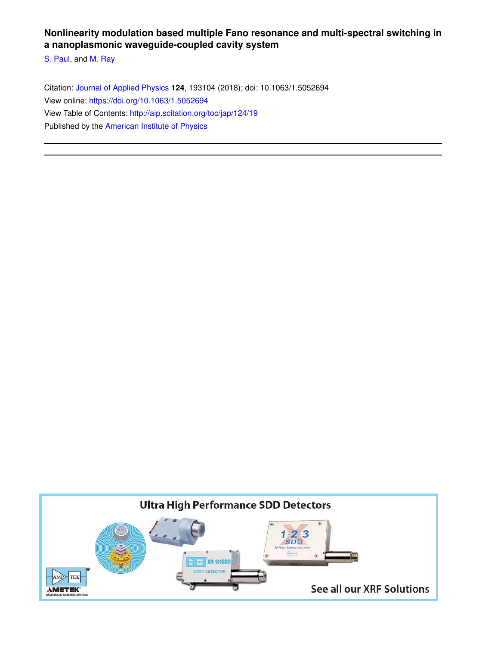# **Nonlinearity modulation based multiple Fano resonance and multi-spectral switching in a nanoplasmonic waveguide-coupled cavity system**

S. Paul, and M. Ray

Citation: Journal of Applied Physics **124**, 193104 (2018); doi: 10.1063/1.5052694 View online: https://doi.org/10.1063/1.5052694 View Table of Contents: http://aip.scitation.org/toc/jap/124/19 Published by the American Institute of Physics

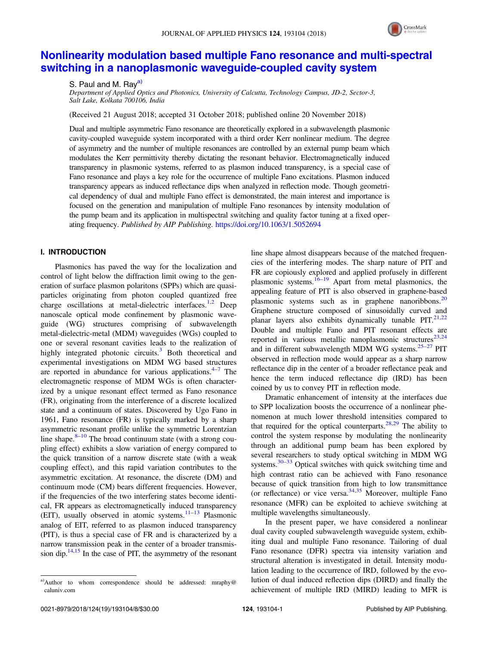

# Nonlinearity modulation based multiple Fano resonance and multi-spectral switching in a nanoplasmonic waveguide-coupled cavity system

S. Paul and M. Rav<sup>a)</sup>

Department of Applied Optics and Photonics, University of Calcutta, Technology Campus, JD-2, Sector-3, Salt Lake, Kolkata 700106, India

(Received 21 August 2018; accepted 31 October 2018; published online 20 November 2018)

Dual and multiple asymmetric Fano resonance are theoretically explored in a subwavelength plasmonic cavity-coupled waveguide system incorporated with a third order Kerr nonlinear medium. The degree of asymmetry and the number of multiple resonances are controlled by an external pump beam which modulates the Kerr permittivity thereby dictating the resonant behavior. Electromagnetically induced transparency in plasmonic systems, referred to as plasmon induced transparency, is a special case of Fano resonance and plays a key role for the occurrence of multiple Fano excitations. Plasmon induced transparency appears as induced reflectance dips when analyzed in reflection mode. Though geometrical dependency of dual and multiple Fano effect is demonstrated, the main interest and importance is focused on the generation and manipulation of multiple Fano resonances by intensity modulation of the pump beam and its application in multispectral switching and quality factor tuning at a fixed operating frequency. Published by AIP Publishing. https://doi.org/10.1063/1.5052694

# I. INTRODUCTION

Plasmonics has paved the way for the localization and control of light below the diffraction limit owing to the generation of surface plasmon polaritons (SPPs) which are quasiparticles originating from photon coupled quantized free charge oscillations at metal-dielectric interfaces.<sup>1,2</sup> Deep nanoscale optical mode confinement by plasmonic waveguide (WG) structures comprising of subwavelength metal-dielectric-metal (MDM) waveguides (WGs) coupled to one or several resonant cavities leads to the realization of highly integrated photonic circuits. $3$  Both theoretical and experimental investigations on MDM WG based structures are reported in abundance for various applications. $4-7$  The electromagnetic response of MDM WGs is often characterized by a unique resonant effect termed as Fano resonance (FR), originating from the interference of a discrete localized state and a continuum of states. Discovered by Ugo Fano in 1961, Fano resonance (FR) is typically marked by a sharp asymmetric resonant profile unlike the symmetric Lorentzian line shape. $8-10$  The broad continuum state (with a strong coupling effect) exhibits a slow variation of energy compared to the quick transition of a narrow discrete state (with a weak coupling effect), and this rapid variation contributes to the asymmetric excitation. At resonance, the discrete (DM) and continuum mode (CM) bears different frequencies. However, if the frequencies of the two interfering states become identical, FR appears as electromagnetically induced transparency (EIT), usually observed in atomic systems. $11-13$  Plasmonic analog of EIT, referred to as plasmon induced transparency (PIT), is thus a special case of FR and is characterized by a narrow transmission peak in the center of a broader transmission dip. $14,15$  In the case of PIT, the asymmetry of the resonant line shape almost disappears because of the matched frequencies of the interfering modes. The sharp nature of PIT and FR are copiously explored and applied profusely in different plasmonic systems.16–<sup>19</sup> Apart from metal plasmonics, the appealing feature of PIT is also observed in graphene-based plasmonic systems such as in graphene nanoribbons. $^{20}$ Graphene structure composed of sinusoidally curved and planar layers also exhibits dynamically tunable  $PIT.^{21,22}$ Double and multiple Fano and PIT resonant effects are reported in various metallic nanoplasmonic structures<sup>23,24</sup> and in different subwavelength MDM WG systems. $25-27$  PIT observed in reflection mode would appear as a sharp narrow reflectance dip in the center of a broader reflectance peak and hence the term induced reflectance dip (IRD) has been coined by us to convey PIT in reflection mode.

Dramatic enhancement of intensity at the interfaces due to SPP localization boosts the occurrence of a nonlinear phenomenon at much lower threshold intensities compared to that required for the optical counterparts. $28,29$  The ability to control the system response by modulating the nonlinearity through an additional pump beam has been explored by several researchers to study optical switching in MDM WG systems. $30-33$  Optical switches with quick switching time and high contrast ratio can be achieved with Fano resonance because of quick transition from high to low transmittance (or reflectance) or vice versa. $34,35$  Moreover, multiple Fano resonance (MFR) can be exploited to achieve switching at multiple wavelengths simultaneously.

In the present paper, we have considered a nonlinear dual cavity coupled subwavelength waveguide system, exhibiting dual and multiple Fano resonance. Tailoring of dual Fano resonance (DFR) spectra via intensity variation and structural alteration is investigated in detail. Intensity modulation leading to the occurrence of IRD, followed by the evolution of dual induced reflection dips (DIRD) and finally the achievement of multiple IRD (MIRD) leading to MFR is

a)Author to whom correspondence should be addressed: mraphy@ caluniv.com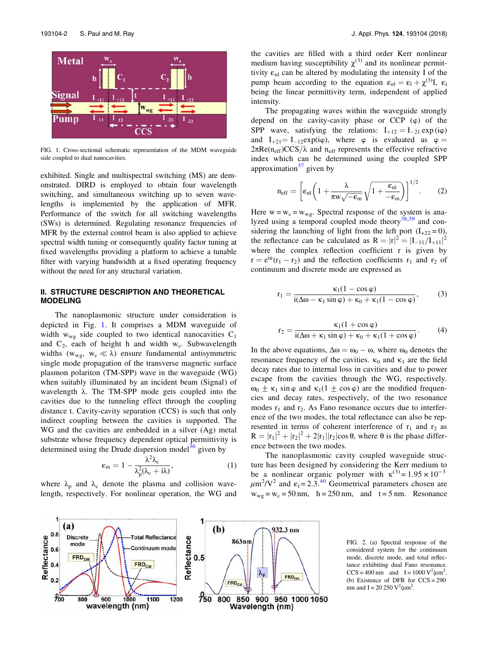

FIG. 1. Cross-sectional schematic representation of the MDM waveguide side coupled to dual nanocavities.

exhibited. Single and multispectral switching (MS) are demonstrated. DIRD is employed to obtain four wavelength switching, and simultaneous switching up to seven wavelengths is implemented by the application of MFR. Performance of the switch for all switching wavelengths (SWs) is determined. Regulating resonance frequencies of MFR by the external control beam is also applied to achieve spectral width tuning or consequently quality factor tuning at fixed wavelengths providing a platform to achieve a tunable filter with varying bandwidth at a fixed operating frequency without the need for any structural variation.

## II. STRUCTURE DESCRIPTION AND THEORETICAL MODELING

The nanoplasmonic structure under consideration is depicted in Fig. 1. It comprises a MDM waveguide of width  $w_{wg}$  side coupled to two identical nanocavities  $C_1$ and  $C_2$ , each of height h and width w<sub>c</sub>. Subwavelength widths ( $w_{wg}$ ,  $w_c \ll \lambda$ ) ensure fundamental antisymmetric single mode propagation of the transverse magnetic surface plasmon polariton (TM-SPP) wave in the waveguide (WG) when suitably illuminated by an incident beam (Signal) of wavelength  $\lambda$ . The TM-SPP mode gets coupled into the cavities due to the tunneling effect through the coupling distance t. Cavity-cavity separation (CCS) is such that only indirect coupling between the cavities is supported. The WG and the cavities are embedded in a silver (Ag) metal substrate whose frequency dependent optical permittivity is determined using the Drude dispersion model<sup>36</sup> given by

$$
\varepsilon_{\rm m} = 1 - \frac{\lambda^2 \lambda_{\rm c}}{\lambda_{\rm p}^2 (\lambda_{\rm c} + i\lambda)},\tag{1}
$$

where  $\lambda_p$  and  $\lambda_c$  denote the plasma and collision wavelength, respectively. For nonlinear operation, the WG and the cavities are filled with a third order Kerr nonlinear medium having susceptibility  $\chi^{(3)}$  and its nonlinear permittivity  $\varepsilon_{nl}$  can be altered by modulating the intensity I of the pump beam according to the equation  $\varepsilon_{nl} = \varepsilon_l + \chi^{(3)}I$ ,  $\varepsilon_l$ being the linear permittivity term, independent of applied intensity.

The propagating waves within the waveguide strongly depend on the cavity-cavity phase or CCP  $(\varphi)$  of the SPP wave, satisfying the relations:  $I_{+12} = I_{-21} \exp(i\varphi)$ and  $I_{+21} = I_{-12} exp(i\varphi)$ , where  $\varphi$  is evaluated as  $\varphi =$  $2\pi \text{Re}(n_{\text{eff}})$ CCS/ $\lambda$  and n<sub>eff</sub> represents the effective refractive index which can be determined using the coupled SPP approximation $37$  given by

$$
n_{\text{eff}} = \left[\varepsilon_{\text{nl}} \left(1 + \frac{\lambda}{\pi w \sqrt{-\varepsilon_{\text{m}}}} \sqrt{1 + \frac{\varepsilon_{\text{nl}}}{-\varepsilon_{\text{m}}}}\right)\right]^{1/2}.
$$
 (2)

Here  $w = w_c = w_{wg}$ . Spectral response of the system is analyzed using a temporal coupled mode theory $^{38,39}$  and considering the launching of light from the left port  $(I_{+22} = 0)$ , the reflectance can be calculated as  $R = |r|^2 = |I_{-11}/I_{+11}|^2$ where the complex reflection coefficient r is given by  $r = e^{i\varphi}(r_1 - r_2)$  and the reflection coefficients  $r_1$  and  $r_2$  of continuum and discrete mode are expressed as

$$
r_1 = \frac{\kappa_1(1 - \cos\varphi)}{i(\Delta\omega - \kappa_1\sin\varphi) + \kappa_0 + \kappa_1(1 - \cos\varphi)},
$$
(3)

$$
r_2 = \frac{\kappa_1(1 + \cos \varphi)}{i(\Delta \omega + \kappa_1 \sin \varphi) + \kappa_0 + \kappa_1(1 + \cos \varphi)}.
$$
 (4)

In the above equations,  $\Delta \omega = \omega_0 - \omega$ , where  $\omega_0$  denotes the resonance frequency of the cavities.  $\kappa_0$  and  $\kappa_1$  are the field decay rates due to internal loss in cavities and due to power escape from the cavities through the WG, respectively.  $ω_0$   $+$  κ<sub>1</sub> sin  $φ$  and κ<sub>1</sub>(1  $+$  cos  $φ$ ) are the modified frequencies and decay rates, respectively, of the two resonance modes  $r_1$  and  $r_2$ . As Fano resonance occurs due to interference of the two modes, the total reflectance can also be represented in terms of coherent interference of  $r_1$  and  $r_2$  as  $R = |r_1|^2 + |r_2|^2 + 2|r_1||r_2|\cos\theta$ , where  $\theta$  is the phase difference between the two modes.

The nanoplasmonic cavity coupled waveguide structure has been designed by considering the Kerr medium to be a nonlinear organic polymer with  $\kappa^{(3)} = 1.95 \times 10^{-3}$  $\mu$ m<sup>2</sup>/V<sup>2</sup> and  $\varepsilon_1$  = 2.3.<sup>40</sup> Geometrical parameters chosen are  $w_{wg} = w_c = 50$  nm, h = 250 nm, and t = 5 nm. Resonance



FIG. 2. (a) Spectral response of the considered system for the continuum mode, discrete mode, and total reflectance exhibiting dual Fano resonance.  $CCS = 400$  nm and  $I = 1000 \text{ V}^2/\mu \text{m}^2$ . (b) Existence of DFR for  $CCS = 290$ nm and I = 20 250  $\frac{V^2}{\mu m^2}$ .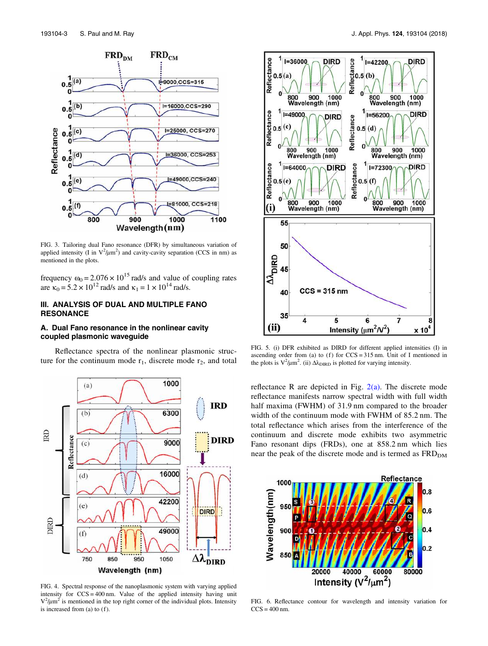

FIG. 3. Tailoring dual Fano resonance (DFR) by simultaneous variation of applied intensity (I in  $V^2/\mu m^2$ ) and cavity-cavity separation (CCS in nm) as mentioned in the plots.

frequency  $\omega_0 = 2.076 \times 10^{15}$  rad/s and value of coupling rates are  $\kappa_0 = 5.2 \times 10^{12}$  rad/s and  $\kappa_1 = 1 \times 10^{14}$  rad/s.

# III. ANALYSIS OF DUAL AND MULTIPLE FANO RESONANCE

## A. Dual Fano resonance in the nonlinear cavity coupled plasmonic waveguide

Reflectance spectra of the nonlinear plasmonic structure for the continuum mode  $r_1$ , discrete mode  $r_2$ , and total



FIG. 4. Spectral response of the nanoplasmonic system with varying applied intensity for CCS = 400 nm. Value of the applied intensity having unit  $V^2/\mu m^2$  is mentioned in the top right corner of the individual plots. Intensity is increased from  $(a)$  to  $(f)$ .



FIG. 5. (i) DFR exhibited as DIRD for different applied intensities (I) in ascending order from (a) to (f) for  $CCS = 315$  nm. Unit of I mentioned in the plots is  $V^2/\mu m^2$ . (ii)  $\Delta \lambda_{\text{DIRD}}$  is plotted for varying intensity.

reflectance R are depicted in Fig.  $2(a)$ . The discrete mode reflectance manifests narrow spectral width with full width half maxima (FWHM) of 31.9 nm compared to the broader width of the continuum mode with FWHM of 85.2 nm. The total reflectance which arises from the interference of the continuum and discrete mode exhibits two asymmetric Fano resonant dips (FRDs), one at 858.2 nm which lies near the peak of the discrete mode and is termed as  $FRD<sub>DM</sub>$ 



FIG. 6. Reflectance contour for wavelength and intensity variation for  $CCS = 400$  nm.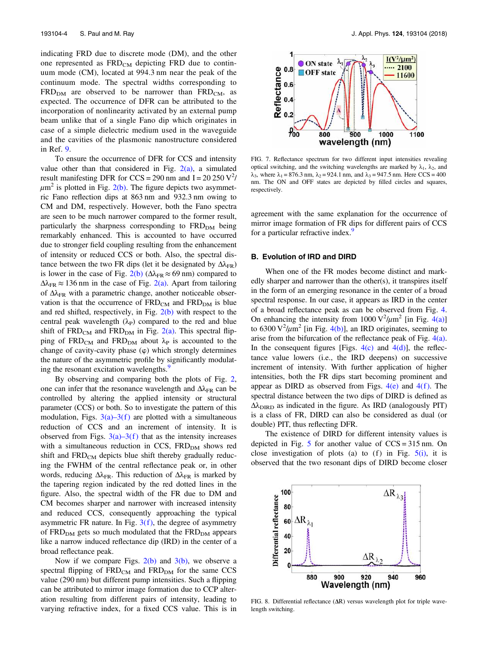indicating FRD due to discrete mode (DM), and the other one represented as  $FRD<sub>CM</sub>$  depicting FRD due to continuum mode (CM), located at 994.3 nm near the peak of the continuum mode. The spectral widths corresponding to  $FRD<sub>DM</sub>$  are observed to be narrower than  $FRD<sub>CM</sub>$ , as expected. The occurrence of DFR can be attributed to the incorporation of nonlinearity activated by an external pump beam unlike that of a single Fano dip which originates in case of a simple dielectric medium used in the waveguide and the cavities of the plasmonic nanostructure considered in Ref. 9.

To ensure the occurrence of DFR for CCS and intensity value other than that considered in Fig.  $2(a)$ , a simulated result manifesting DFR for CCS = 290 nm and  $I = 20 250 V^2$  $\mu$ m<sup>2</sup> is plotted in Fig. 2(b). The figure depicts two asymmetric Fano reflection dips at 863 nm and 932.3 nm owing to CM and DM, respectively. However, both the Fano spectra are seen to be much narrower compared to the former result, particularly the sharpness corresponding to FRD<sub>DM</sub> being remarkably enhanced. This is accounted to have occurred due to stronger field coupling resulting from the enhancement of intensity or reduced CCS or both. Also, the spectral distance between the two FR dips (let it be designated by  $\Delta\lambda_{\text{FR}}$ ) is lower in the case of Fig. 2(b) ( $\Delta \lambda_{FR} \approx 69$  nm) compared to  $\Delta\lambda_{\text{FR}} \approx 136$  nm in the case of Fig. 2(a). Apart from tailoring of  $\Delta\lambda_{\text{FR}}$  with a parametric change, another noticeable observation is that the occurrence of  $FRD<sub>CM</sub>$  and  $FRD<sub>DM</sub>$  is blue and red shifted, respectively, in Fig.  $2(b)$  with respect to the central peak wavelength  $(\lambda_P)$  compared to the red and blue shift of  $FRD<sub>CM</sub>$  and  $FRD<sub>DM</sub>$  in Fig. 2(a). This spectral flipping of  $FRD<sub>CM</sub>$  and  $FRD<sub>DM</sub>$  about  $\lambda_P$  is accounted to the change of cavity-cavity phase  $(\varphi)$  which strongly determines the nature of the asymmetric profile by significantly modulating the resonant excitation wavelengths.<sup>9</sup>

By observing and comparing both the plots of Fig. 2, one can infer that the resonance wavelength and  $\Delta\lambda_{FR}$  can be controlled by altering the applied intensity or structural parameter (CCS) or both. So to investigate the pattern of this modulation, Figs.  $3(a)$ – $3(f)$  are plotted with a simultaneous reduction of CCS and an increment of intensity. It is observed from Figs.  $3(a)$ – $3(f)$  that as the intensity increases with a simultaneous reduction in CCS, FRD<sub>DM</sub> shows red shift and  $FRD<sub>CM</sub>$  depicts blue shift thereby gradually reducing the FWHM of the central reflectance peak or, in other words, reducing  $\Delta\lambda_{\text{FR}}$ . This reduction of  $\Delta\lambda_{\text{FR}}$  is marked by the tapering region indicated by the red dotted lines in the figure. Also, the spectral width of the FR due to DM and CM becomes sharper and narrower with increased intensity and reduced CCS, consequently approaching the typical asymmetric FR nature. In Fig.  $3(f)$ , the degree of asymmetry of FRD<sub>DM</sub> gets so much modulated that the FRD<sub>DM</sub> appears like a narrow induced reflectance dip (IRD) in the center of a broad reflectance peak.

Now if we compare Figs.  $2(b)$  and  $3(b)$ , we observe a spectral flipping of  $FRD_{CM}$  and  $FRD_{DM}$  for the same CCS value (290 nm) but different pump intensities. Such a flipping can be attributed to mirror image formation due to CCP alteration resulting from different pairs of intensity, leading to varying refractive index, for a fixed CCS value. This is in



FIG. 7. Reflectance spectrum for two different input intensities revealing optical switching, and the switching wavelengths are marked by  $\lambda_1$ ,  $\lambda_2$ , and  $λ_3$ , where  $λ_1 = 876.3$  nm,  $λ_2 = 924.1$  nm, and  $λ_3 = 947.5$  nm. Here CCS = 400 nm. The ON and OFF states are depicted by filled circles and squares, respectively.

agreement with the same explanation for the occurrence of mirror image formation of FR dips for different pairs of CCS for a particular refractive index.<sup>9</sup>

# B. Evolution of IRD and DIRD

When one of the FR modes become distinct and markedly sharper and narrower than the other(s), it transpires itself in the form of an emerging resonance in the center of a broad spectral response. In our case, it appears as IRD in the center of a broad reflectance peak as can be observed from Fig. 4. On enhancing the intensity from  $1000 \text{ V}^2/\mu \text{m}^2$  [in Fig. 4(a)] to 6300  $\mathrm{V}^2/\mu\mathrm{m}^2$  [in Fig. 4(b)], an IRD originates, seeming to arise from the bifurcation of the reflectance peak of Fig. 4(a). In the consequent figures [Figs.  $4(c)$  and  $4(d)$ ], the reflectance value lowers (i.e., the IRD deepens) on successive increment of intensity. With further application of higher intensities, both the FR dips start becoming prominent and appear as DIRD as observed from Figs.  $4(e)$  and  $4(f)$ . The spectral distance between the two dips of DIRD is defined as  $\Delta\lambda_{\text{DIRD}}$  as indicated in the figure. As IRD (analogously PIT) is a class of FR, DIRD can also be considered as dual (or double) PIT, thus reflecting DFR.

The existence of DIRD for different intensity values is depicted in Fig. 5 for another value of  $CCS = 315$  nm. On close investigation of plots (a) to (f) in Fig.  $5(i)$ , it is observed that the two resonant dips of DIRD become closer



FIG. 8. Differential reflectance (ΔR) versus wavelength plot for triple wavelength switching.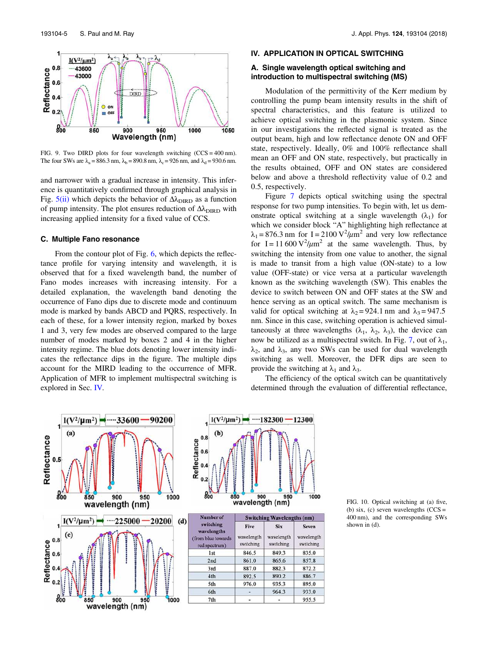

FIG. 9. Two DIRD plots for four wavelength switching  $(CCS = 400 \text{ nm})$ . The four SWs are  $\lambda_a = 886.3$  nm,  $\lambda_b = 890.8$  nm,  $\lambda_c = 926$  nm, and  $\lambda_d = 930.6$  nm.

and narrower with a gradual increase in intensity. This inference is quantitatively confirmed through graphical analysis in Fig.  $5(ii)$  which depicts the behavior of  $\Delta\lambda_{\text{DIRD}}$  as a function of pump intensity. The plot ensures reduction of  $\Delta\lambda_{\text{DIRD}}$  with increasing applied intensity for a fixed value of CCS.

#### C. Multiple Fano resonance

From the contour plot of Fig. 6, which depicts the reflectance profile for varying intensity and wavelength, it is observed that for a fixed wavelength band, the number of Fano modes increases with increasing intensity. For a detailed explanation, the wavelength band denoting the occurrence of Fano dips due to discrete mode and continuum mode is marked by bands ABCD and PQRS, respectively. In each of these, for a lower intensity region, marked by boxes 1 and 3, very few modes are observed compared to the large number of modes marked by boxes 2 and 4 in the higher intensity regime. The blue dots denoting lower intensity indicates the reflectance dips in the figure. The multiple dips account for the MIRD leading to the occurrence of MFR. Application of MFR to implement multispectral switching is explored in Sec. IV.

#### IV. APPLICATION IN OPTICAL SWITCHING

# A. Single wavelength optical switching and introduction to multispectral switching (MS)

Modulation of the permittivity of the Kerr medium by controlling the pump beam intensity results in the shift of spectral characteristics, and this feature is utilized to achieve optical switching in the plasmonic system. Since in our investigations the reflected signal is treated as the output beam, high and low reflectance denote ON and OFF state, respectively. Ideally, 0% and 100% reflectance shall mean an OFF and ON state, respectively, but practically in the results obtained, OFF and ON states are considered below and above a threshold reflectivity value of 0.2 and 0.5, respectively.

Figure 7 depicts optical switching using the spectral response for two pump intensities. To begin with, let us demonstrate optical switching at a single wavelength  $(\lambda_1)$  for which we consider block "A" highlighting high reflectance at  $\lambda_1 = 876.3$  nm for I = 2100 V<sup>2</sup>/ $\mu$ m<sup>2</sup> and very low reflectance for  $I = 11600 \text{ V}^2/\mu \text{m}^2$  at the same wavelength. Thus, by switching the intensity from one value to another, the signal is made to transit from a high value (ON-state) to a low value (OFF-state) or vice versa at a particular wavelength known as the switching wavelength (SW). This enables the device to switch between ON and OFF states at the SW and hence serving as an optical switch. The same mechanism is valid for optical switching at  $\lambda_2 = 924.1$  nm and  $\lambda_3 = 947.5$ nm. Since in this case, switching operation is achieved simultaneously at three wavelengths  $(\lambda_1, \lambda_2, \lambda_3)$ , the device can now be utilized as a multispectral switch. In Fig. 7, out of  $\lambda_1$ ,  $\lambda_2$ , and  $\lambda_3$ , any two SWs can be used for dual wavelength switching as well. Moreover, the DFR dips are seen to provide the switching at  $\lambda_1$  and  $\lambda_3$ .

The efficiency of the optical switch can be quantitatively determined through the evaluation of differential reflectance,



FIG. 10. Optical switching at (a) five, (b) six, (c) seven wavelengths  $(CCS =$ 400 nm), and the corresponding SWs shown in (d).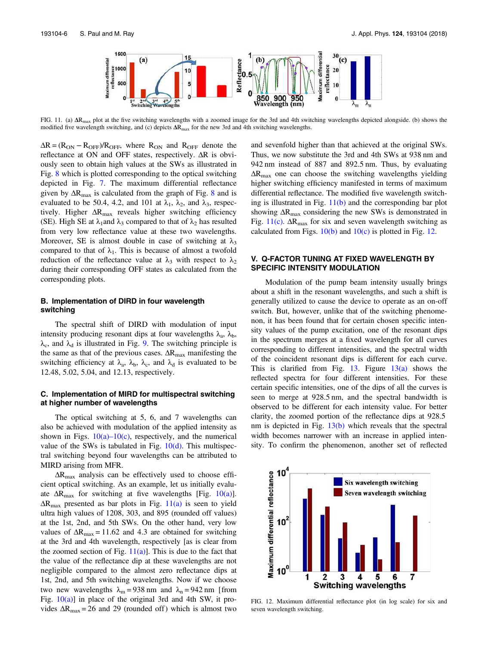

FIG. 11. (a)  $\Delta R_{\text{max}}$  plot at the five switching wavelengths with a zoomed image for the 3rd and 4th switching wavelengths depicted alongside. (b) shows the modified five wavelength switching, and (c) depicts  $\Delta R_{\text{max}}$  for the new 3rd and 4th switching wavelengths.

 $\Delta R = (R_{ON} - R_{OFF})/R_{OFF}$ , where  $R_{ON}$  and  $R_{OFF}$  denote the reflectance at ON and OFF states, respectively. ΔR is obviously seen to obtain high values at the SWs as illustrated in Fig. 8 which is plotted corresponding to the optical switching depicted in Fig. 7. The maximum differential reflectance given by  $\Delta R_{\text{max}}$  is calculated from the graph of Fig. 8 and is evaluated to be 50.4, 4.2, and 101 at  $\lambda_1$ ,  $\lambda_2$ , and  $\lambda_3$ , respectively. Higher  $\Delta R_{\text{max}}$  reveals higher switching efficiency (SE). High SE at  $\lambda_1$ and  $\lambda_3$  compared to that of  $\lambda_2$  has resulted from very low reflectance value at these two wavelengths. Moreover, SE is almost double in case of switching at  $\lambda_3$ compared to that of  $\lambda_1$ . This is because of almost a twofold reduction of the reflectance value at  $\lambda_3$  with respect to  $\lambda_2$ during their corresponding OFF states as calculated from the corresponding plots.

## B. Implementation of DIRD in four wavelength switching

The spectral shift of DIRD with modulation of input intensity producing resonant dips at four wavelengths  $\lambda_a$ ,  $\lambda_b$ ,  $\lambda_c$ , and  $\lambda_d$  is illustrated in Fig. 9. The switching principle is the same as that of the previous cases.  $\Delta R_{\text{max}}$  manifesting the switching efficiency at  $\lambda_a$ ,  $\lambda_b$ ,  $\lambda_c$ , and  $\lambda_d$  is evaluated to be 12.48, 5.02, 5.04, and 12.13, respectively.

## C. Implementation of MIRD for multispectral switching at higher number of wavelengths

The optical switching at 5, 6, and 7 wavelengths can also be achieved with modulation of the applied intensity as shown in Figs.  $10(a)-10(c)$ , respectively, and the numerical value of the SWs is tabulated in Fig.  $10(d)$ . This multispectral switching beyond four wavelengths can be attributed to MIRD arising from MFR.

 $\Delta R_{\text{max}}$  analysis can be effectively used to choose efficient optical switching. As an example, let us initially evaluate  $\Delta R_{\text{max}}$  for switching at five wavelengths [Fig. 10(a)].  $\Delta R_{\text{max}}$  presented as bar plots in Fig. 11(a) is seen to yield ultra high values of 1208, 303, and 895 (rounded off values) at the 1st, 2nd, and 5th SWs. On the other hand, very low values of  $\Delta R_{\text{max}} = 11.62$  and 4.3 are obtained for switching at the 3rd and 4th wavelength, respectively [as is clear from the zoomed section of Fig.  $11(a)$ ]. This is due to the fact that the value of the reflectance dip at these wavelengths are not negligible compared to the almost zero reflectance dips at 1st, 2nd, and 5th switching wavelengths. Now if we choose two new wavelengths  $\lambda_m = 938$  nm and  $\lambda_n = 942$  nm [from Fig.  $10(a)$ ] in place of the original 3rd and 4th SW, it provides  $\Delta R_{\text{max}} = 26$  and 29 (rounded off) which is almost two and sevenfold higher than that achieved at the original SWs. Thus, we now substitute the 3rd and 4th SWs at 938 nm and 942 nm instead of 887 and 892.5 nm. Thus, by evaluating  $\Delta R_{\text{max}}$  one can choose the switching wavelengths yielding higher switching efficiency manifested in terms of maximum differential reflectance. The modified five wavelength switching is illustrated in Fig. 11(b) and the corresponding bar plot showing  $\Delta R_{\text{max}}$  considering the new SWs is demonstrated in Fig.  $11(c)$ .  $\Delta R_{\text{max}}$  for six and seven wavelength switching as calculated from Figs.  $10(b)$  and  $10(c)$  is plotted in Fig. 12.

# V. Q-FACTOR TUNING AT FIXED WAVELENGTH BY SPECIFIC INTENSITY MODULATION

Modulation of the pump beam intensity usually brings about a shift in the resonant wavelengths, and such a shift is generally utilized to cause the device to operate as an on-off switch. But, however, unlike that of the switching phenomenon, it has been found that for certain chosen specific intensity values of the pump excitation, one of the resonant dips in the spectrum merges at a fixed wavelength for all curves corresponding to different intensities, and the spectral width of the coincident resonant dips is different for each curve. This is clarified from Fig. 13. Figure  $13(a)$  shows the reflected spectra for four different intensities. For these certain specific intensities, one of the dips of all the curves is seen to merge at 928.5 nm, and the spectral bandwidth is observed to be different for each intensity value. For better clarity, the zoomed portion of the reflectance dips at 928.5 nm is depicted in Fig. 13(b) which reveals that the spectral width becomes narrower with an increase in applied intensity. To confirm the phenomenon, another set of reflected



FIG. 12. Maximum differential reflectance plot (in log scale) for six and seven wavelength switching.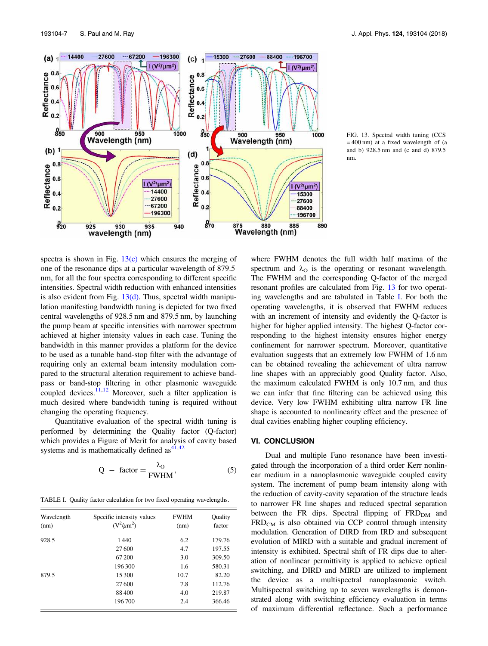

FIG. 13. Spectral width tuning (CCS  $= 400$  nm) at a fixed wavelength of (a and b) 928.5 nm and (c and d) 879.5 nm.

spectra is shown in Fig.  $13(c)$  which ensures the merging of one of the resonance dips at a particular wavelength of 879.5 nm, for all the four spectra corresponding to different specific intensities. Spectral width reduction with enhanced intensities is also evident from Fig.  $13(d)$ . Thus, spectral width manipulation manifesting bandwidth tuning is depicted for two fixed central wavelengths of 928.5 nm and 879.5 nm, by launching the pump beam at specific intensities with narrower spectrum achieved at higher intensity values in each case. Tuning the bandwidth in this manner provides a platform for the device to be used as a tunable band-stop filter with the advantage of requiring only an external beam intensity modulation compared to the structural alteration requirement to achieve bandpass or band-stop filtering in other plasmonic waveguide coupled devices.<sup>11,12</sup> Moreover, such a filter application is much desired where bandwidth tuning is required without changing the operating frequency.

Quantitative evaluation of the spectral width tuning is performed by determining the Quality factor (Q-factor) which provides a Figure of Merit for analysis of cavity based systems and is mathematically defined as  $4^{1,42}$ 

$$
Q - factor = \frac{\lambda_0}{FWHM},
$$
 (5)

TABLE I. Quality factor calculation for two fixed operating wavelengths.

| Wavelength<br>(nm) | Specific intensity values<br>$(V^2/\mu m^2)$ | <b>FWHM</b><br>(nm) | Quality<br>factor |
|--------------------|----------------------------------------------|---------------------|-------------------|
| 928.5              | 1440                                         | 6.2                 | 179.76            |
|                    | 27 600                                       | 4.7                 | 197.55            |
|                    | 67 200                                       | 3.0                 | 309.50            |
|                    | 196300                                       | 1.6                 | 580.31            |
| 879.5              | 15 300                                       | 10.7                | 82.20             |
|                    | 27 600                                       | 7.8                 | 112.76            |
|                    | 88 400                                       | 4.0                 | 219.87            |
|                    | 196700                                       | 2.4                 | 366.46            |

where FWHM denotes the full width half maxima of the spectrum and  $\lambda_{\Omega}$  is the operating or resonant wavelength. The FWHM and the corresponding Q-factor of the merged resonant profiles are calculated from Fig. 13 for two operating wavelengths and are tabulated in Table I. For both the operating wavelengths, it is observed that FWHM reduces with an increment of intensity and evidently the Q-factor is higher for higher applied intensity. The highest Q-factor corresponding to the highest intensity ensures higher energy confinement for narrower spectrum. Moreover, quantitative evaluation suggests that an extremely low FWHM of 1.6 nm can be obtained revealing the achievement of ultra narrow line shapes with an appreciably good Quality factor. Also, the maximum calculated FWHM is only 10.7 nm, and thus we can infer that fine filtering can be achieved using this device. Very low FWHM exhibiting ultra narrow FR line shape is accounted to nonlinearity effect and the presence of dual cavities enabling higher coupling efficiency.

#### VI. CONCLUSION

Dual and multiple Fano resonance have been investigated through the incorporation of a third order Kerr nonlinear medium in a nanoplasmonic waveguide coupled cavity system. The increment of pump beam intensity along with the reduction of cavity-cavity separation of the structure leads to narrower FR line shapes and reduced spectral separation between the FR dips. Spectral flipping of  $FRD<sub>DM</sub>$  and  $FRD<sub>CM</sub>$  is also obtained via CCP control through intensity modulation. Generation of DIRD from IRD and subsequent evolution of MIRD with a suitable and gradual increment of intensity is exhibited. Spectral shift of FR dips due to alteration of nonlinear permittivity is applied to achieve optical switching, and DIRD and MIRD are utilized to implement the device as a multispectral nanoplasmonic switch. Multispectral switching up to seven wavelengths is demonstrated along with switching efficiency evaluation in terms of maximum differential reflectance. Such a performance